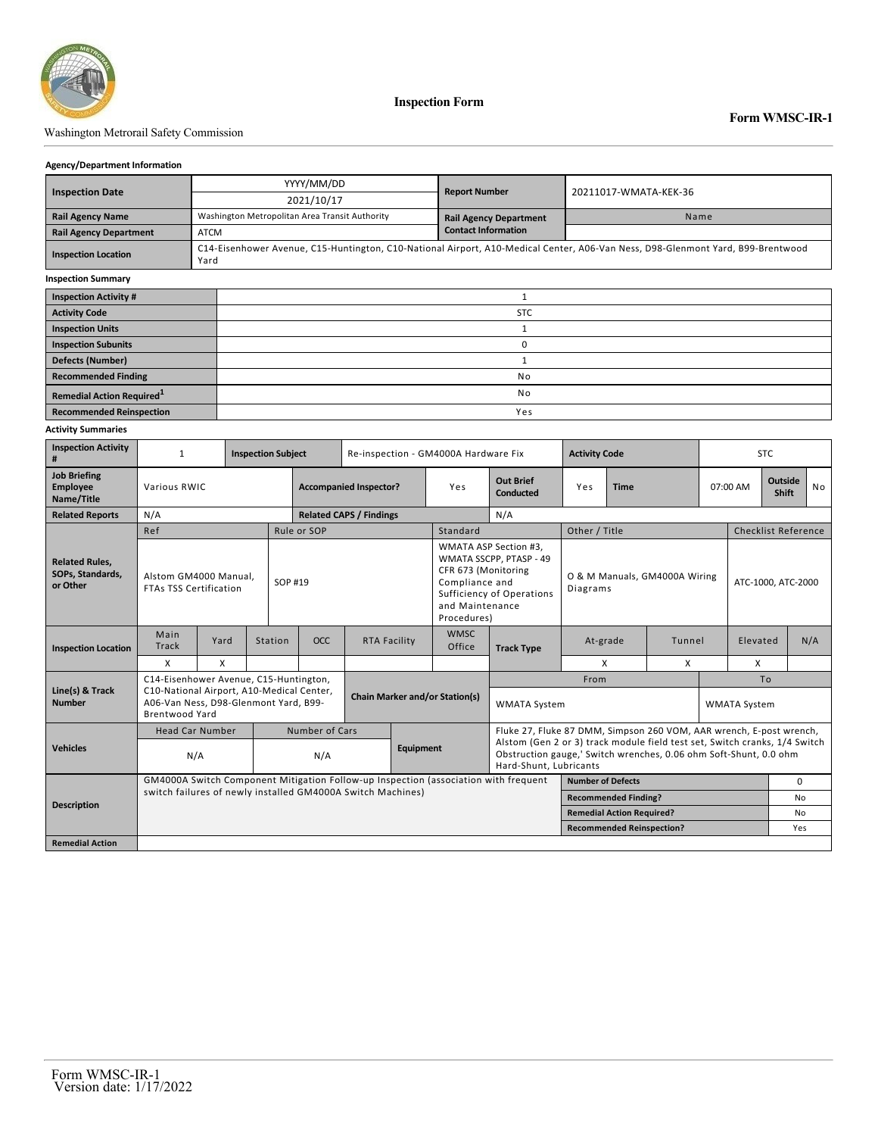

**Inspection Form**

## Washington Metrorail Safety Commission

#### **Agency/Department Information**

|                               | YYYY/MM/DD                                     | <b>Report Number</b>                                                                                                            |                       |  |  |  |  |  |  |
|-------------------------------|------------------------------------------------|---------------------------------------------------------------------------------------------------------------------------------|-----------------------|--|--|--|--|--|--|
| <b>Inspection Date</b>        | 2021/10/17                                     |                                                                                                                                 | 20211017-WMATA-KEK-36 |  |  |  |  |  |  |
| <b>Rail Agency Name</b>       | Washington Metropolitan Area Transit Authority | <b>Rail Agency Department</b>                                                                                                   | Name                  |  |  |  |  |  |  |
| <b>Rail Agency Department</b> | <b>ATCM</b>                                    | <b>Contact Information</b>                                                                                                      |                       |  |  |  |  |  |  |
| <b>Inspection Location</b>    | Yard                                           | C14-Eisenhower Avenue, C15-Huntington, C10-National Airport, A10-Medical Center, A06-Van Ness, D98-Glenmont Yard, B99-Brentwood |                       |  |  |  |  |  |  |
| <b>Inspection Summary</b>     |                                                |                                                                                                                                 |                       |  |  |  |  |  |  |
| <b>Inspection Activity #</b>  |                                                |                                                                                                                                 |                       |  |  |  |  |  |  |
| <b>Activity Code</b>          | <b>STC</b>                                     |                                                                                                                                 |                       |  |  |  |  |  |  |
| <b>Inspection Units</b>       |                                                |                                                                                                                                 |                       |  |  |  |  |  |  |
| <b>Inspection Subunits</b>    | 0                                              |                                                                                                                                 |                       |  |  |  |  |  |  |
| <b>Defects (Number)</b>       |                                                |                                                                                                                                 |                       |  |  |  |  |  |  |
| <b>Recommended Finding</b>    |                                                | No                                                                                                                              |                       |  |  |  |  |  |  |

**Remedial Action Required**<sup>1</sup> and **1** No **Recommended Reinspection** Yes

### **Activity Summaries**

| <b>Inspection Activity</b><br>#                       | $\mathbf{1}$                                                                                                                                       |                        | <b>Inspection Subject</b> |                                       | Re-inspection - GM4000A Hardware Fix |  |                                                                         |                                                                                                                                                 | <b>Activity Code</b>                                                |  |          | STC.               |                                |     |  |
|-------------------------------------------------------|----------------------------------------------------------------------------------------------------------------------------------------------------|------------------------|---------------------------|---------------------------------------|--------------------------------------|--|-------------------------------------------------------------------------|-------------------------------------------------------------------------------------------------------------------------------------------------|---------------------------------------------------------------------|--|----------|--------------------|--------------------------------|-----|--|
| <b>Job Briefing</b><br>Employee<br>Name/Title         | Various RWIC                                                                                                                                       |                        |                           | <b>Accompanied Inspector?</b>         |                                      |  | Yes                                                                     | <b>Out Brief</b><br>Conducted                                                                                                                   | Yes<br><b>Time</b>                                                  |  | 07:00 AM |                    | <b>Outside</b><br><b>Shift</b> | No  |  |
| <b>Related Reports</b>                                | N/A                                                                                                                                                |                        |                           | <b>Related CAPS / Findings</b>        |                                      |  | N/A                                                                     |                                                                                                                                                 |                                                                     |  |          |                    |                                |     |  |
|                                                       | Ref                                                                                                                                                |                        |                           | Rule or SOP                           |                                      |  | Standard                                                                |                                                                                                                                                 | Other / Title                                                       |  |          |                    | <b>Checklist Reference</b>     |     |  |
| <b>Related Rules,</b><br>SOPs, Standards,<br>or Other | Alstom GM4000 Manual.<br><b>FTAs TSS Certification</b>                                                                                             |                        | SOP #19                   |                                       |                                      |  | CFR 673 (Monitoring<br>Compliance and<br>and Maintenance<br>Procedures) | WMATA ASP Section #3,<br>WMATA SSCPP, PTASP - 49<br>Sufficiency of Operations                                                                   | O & M Manuals, GM4000A Wiring<br>Diagrams                           |  |          | ATC-1000, ATC-2000 |                                |     |  |
| <b>Inspection Location</b>                            | Main<br><b>Track</b>                                                                                                                               | Yard                   | Station                   | <b>OCC</b>                            | <b>RTA Facility</b>                  |  | <b>WMSC</b><br>Office                                                   | <b>Track Type</b>                                                                                                                               | At-grade<br>Tunnel                                                  |  |          | Elevated           |                                | N/A |  |
|                                                       | $\mathsf{x}$                                                                                                                                       | X                      |                           |                                       |                                      |  |                                                                         |                                                                                                                                                 | X                                                                   |  | X        |                    | X                              |     |  |
| Line(s) & Track<br><b>Number</b>                      | C14-Eisenhower Avenue, C15-Huntington,                                                                                                             |                        |                           |                                       |                                      |  |                                                                         |                                                                                                                                                 | From                                                                |  | To       |                    |                                |     |  |
|                                                       | C10-National Airport, A10-Medical Center,<br>A06-Van Ness, D98-Glenmont Yard, B99-<br><b>Brentwood Yard</b>                                        |                        |                           | <b>Chain Marker and/or Station(s)</b> |                                      |  | <b>WMATA System</b>                                                     |                                                                                                                                                 |                                                                     |  |          |                    | <b>WMATA System</b>            |     |  |
| <b>Vehicles</b>                                       |                                                                                                                                                    | <b>Head Car Number</b> |                           |                                       | Number of Cars                       |  |                                                                         |                                                                                                                                                 | Fluke 27, Fluke 87 DMM, Simpson 260 VOM, AAR wrench, E-post wrench, |  |          |                    |                                |     |  |
|                                                       | N/A                                                                                                                                                |                        |                           | Equipment<br>N/A                      |                                      |  | Hard-Shunt, Lubricants                                                  | Alstom (Gen 2 or 3) track module field test set, Switch cranks, 1/4 Switch<br>Obstruction gauge,' Switch wrenches, 0.06 ohm Soft-Shunt, 0.0 ohm |                                                                     |  |          |                    |                                |     |  |
| <b>Description</b>                                    | GM4000A Switch Component Mitigation Follow-up Inspection (association with frequent<br>switch failures of newly installed GM4000A Switch Machines) |                        |                           |                                       |                                      |  |                                                                         | <b>Number of Defects</b>                                                                                                                        |                                                                     |  |          |                    | $\Omega$                       |     |  |
|                                                       |                                                                                                                                                    |                        |                           |                                       |                                      |  |                                                                         | <b>Recommended Finding?</b>                                                                                                                     |                                                                     |  |          |                    | N <sub>0</sub>                 |     |  |
|                                                       |                                                                                                                                                    |                        |                           |                                       |                                      |  |                                                                         | <b>Remedial Action Required?</b>                                                                                                                |                                                                     |  |          |                    | No                             |     |  |
|                                                       |                                                                                                                                                    |                        |                           |                                       |                                      |  |                                                                         | <b>Recommended Reinspection?</b>                                                                                                                |                                                                     |  |          | Yes                |                                |     |  |
| <b>Remedial Action</b>                                |                                                                                                                                                    |                        |                           |                                       |                                      |  |                                                                         |                                                                                                                                                 |                                                                     |  |          |                    |                                |     |  |